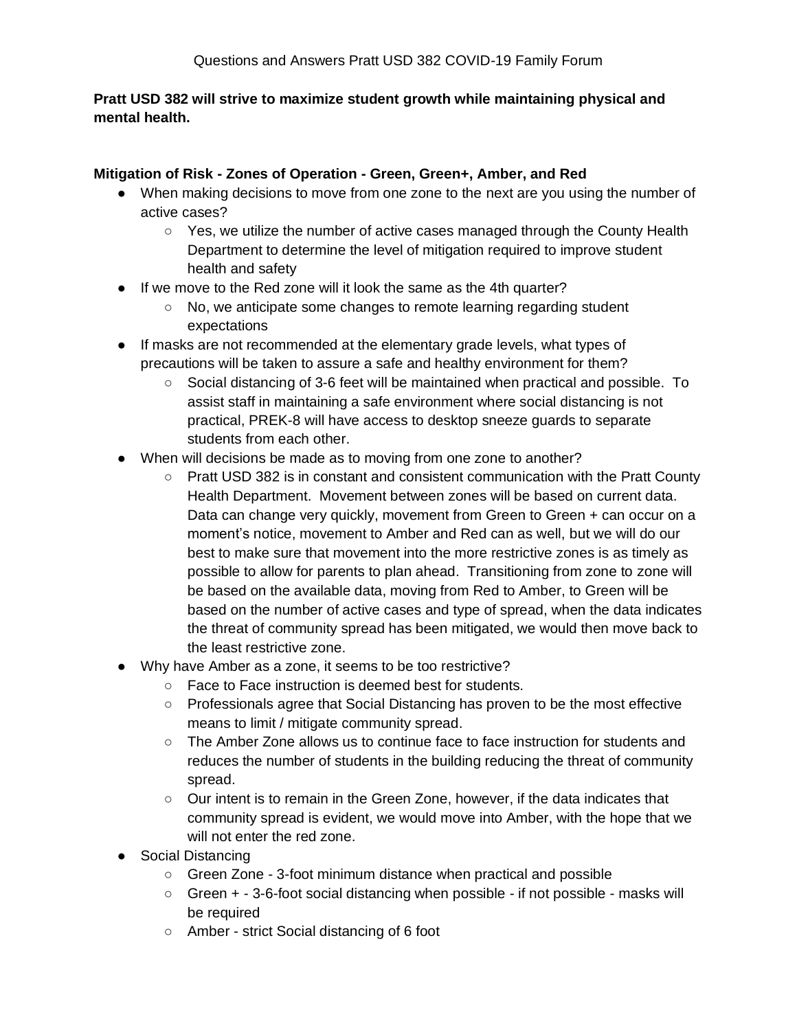# **Pratt USD 382 will strive to maximize student growth while maintaining physical and mental health.**

# **Mitigation of Risk - Zones of Operation - Green, Green+, Amber, and Red**

- When making decisions to move from one zone to the next are you using the number of active cases?
	- Yes, we utilize the number of active cases managed through the County Health Department to determine the level of mitigation required to improve student health and safety
- If we move to the Red zone will it look the same as the 4th quarter?
	- No, we anticipate some changes to remote learning regarding student expectations
- If masks are not recommended at the elementary grade levels, what types of precautions will be taken to assure a safe and healthy environment for them?
	- Social distancing of 3-6 feet will be maintained when practical and possible. To assist staff in maintaining a safe environment where social distancing is not practical, PREK-8 will have access to desktop sneeze guards to separate students from each other.
- When will decisions be made as to moving from one zone to another?
	- Pratt USD 382 is in constant and consistent communication with the Pratt County Health Department. Movement between zones will be based on current data. Data can change very quickly, movement from Green to Green + can occur on a moment's notice, movement to Amber and Red can as well, but we will do our best to make sure that movement into the more restrictive zones is as timely as possible to allow for parents to plan ahead. Transitioning from zone to zone will be based on the available data, moving from Red to Amber, to Green will be based on the number of active cases and type of spread, when the data indicates the threat of community spread has been mitigated, we would then move back to the least restrictive zone.
- Why have Amber as a zone, it seems to be too restrictive?
	- Face to Face instruction is deemed best for students.
	- Professionals agree that Social Distancing has proven to be the most effective means to limit / mitigate community spread.
	- $\circ$  The Amber Zone allows us to continue face to face instruction for students and reduces the number of students in the building reducing the threat of community spread.
	- Our intent is to remain in the Green Zone, however, if the data indicates that community spread is evident, we would move into Amber, with the hope that we will not enter the red zone.
- Social Distancing
	- Green Zone 3-foot minimum distance when practical and possible
	- Green + 3-6-foot social distancing when possible if not possible masks will be required
	- Amber strict Social distancing of 6 foot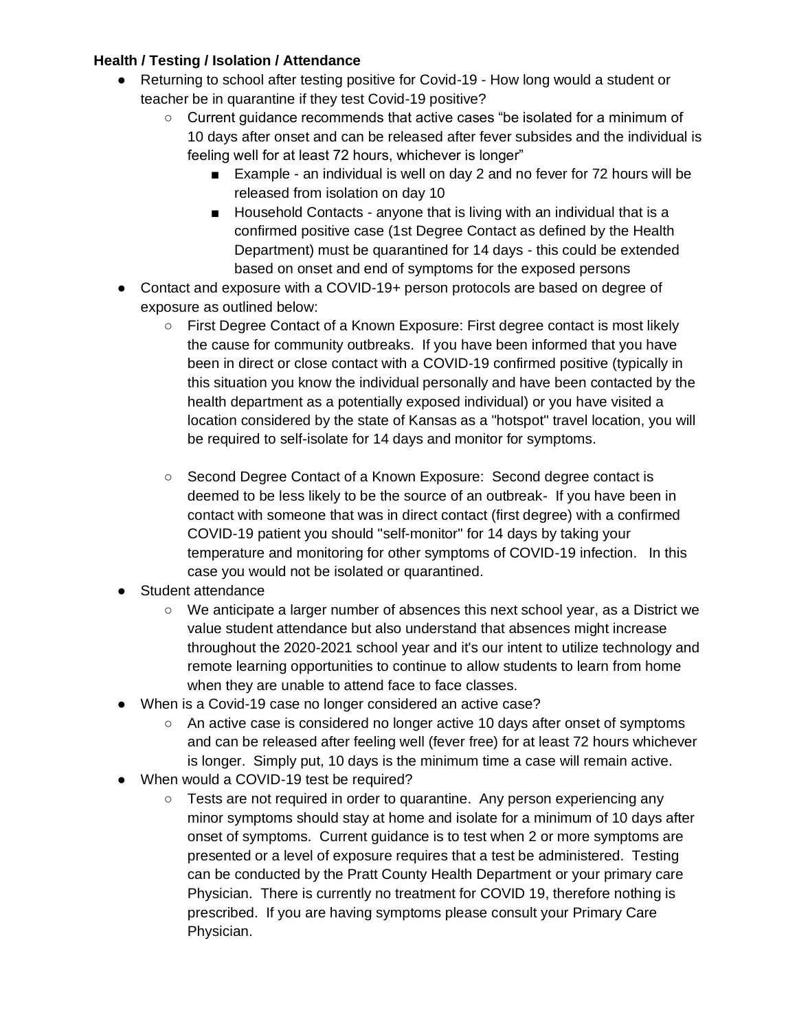# **Health / Testing / Isolation / Attendance**

- Returning to school after testing positive for Covid-19 How long would a student or teacher be in quarantine if they test Covid-19 positive?
	- Current guidance recommends that active cases "be isolated for a minimum of 10 days after onset and can be released after fever subsides and the individual is feeling well for at least 72 hours, whichever is longer"
		- Example an individual is well on day 2 and no fever for 72 hours will be released from isolation on day 10
		- Household Contacts anyone that is living with an individual that is a confirmed positive case (1st Degree Contact as defined by the Health Department) must be quarantined for 14 days - this could be extended based on onset and end of symptoms for the exposed persons
- Contact and exposure with a COVID-19+ person protocols are based on degree of exposure as outlined below:
	- First Degree Contact of a Known Exposure: First degree contact is most likely the cause for community outbreaks. If you have been informed that you have been in direct or close contact with a COVID-19 confirmed positive (typically in this situation you know the individual personally and have been contacted by the health department as a potentially exposed individual) or you have visited a location considered by the state of Kansas as a "hotspot" travel location, you will be required to self-isolate for 14 days and monitor for symptoms.
	- Second Degree Contact of a Known Exposure: Second degree contact is deemed to be less likely to be the source of an outbreak- If you have been in contact with someone that was in direct contact (first degree) with a confirmed COVID-19 patient you should "self-monitor" for 14 days by taking your temperature and monitoring for other symptoms of COVID-19 infection. In this case you would not be isolated or quarantined.
- Student attendance
	- We anticipate a larger number of absences this next school year, as a District we value student attendance but also understand that absences might increase throughout the 2020-2021 school year and it's our intent to utilize technology and remote learning opportunities to continue to allow students to learn from home when they are unable to attend face to face classes.
- When is a Covid-19 case no longer considered an active case?
	- An active case is considered no longer active 10 days after onset of symptoms and can be released after feeling well (fever free) for at least 72 hours whichever is longer. Simply put, 10 days is the minimum time a case will remain active.
- When would a COVID-19 test be required?
	- Tests are not required in order to quarantine. Any person experiencing any minor symptoms should stay at home and isolate for a minimum of 10 days after onset of symptoms. Current guidance is to test when 2 or more symptoms are presented or a level of exposure requires that a test be administered. Testing can be conducted by the Pratt County Health Department or your primary care Physician. There is currently no treatment for COVID 19, therefore nothing is prescribed. If you are having symptoms please consult your Primary Care Physician.